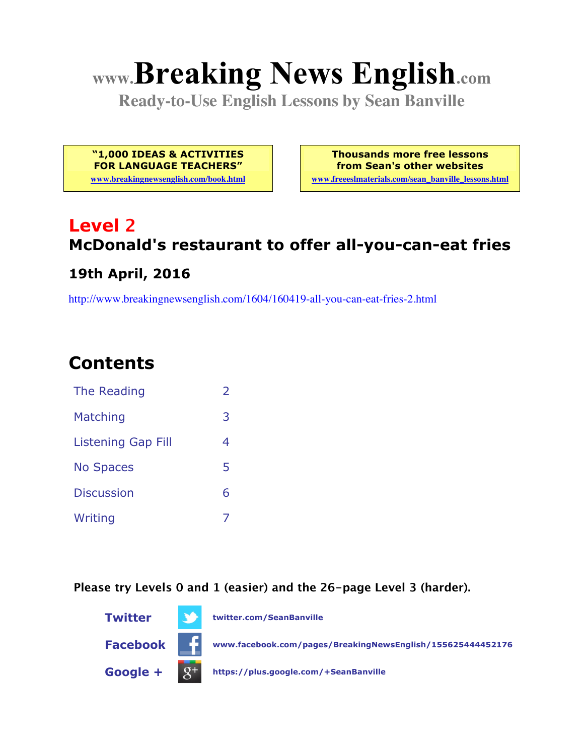# **www.Breaking News English.com**

**Ready-to-Use English Lessons by Sean Banville**

**"1,000 IDEAS & ACTIVITIES FOR LANGUAGE TEACHERS"**

**www.breakingnewsenglish.com/book.html**

**Thousands more free lessons from Sean's other websites www.freeeslmaterials.com/sean\_banville\_lessons.html**

# **Level 2 McDonald's restaurant to offer all-you-can-eat fries**

#### **19th April, 2016**

http://www.breakingnewsenglish.com/1604/160419-all-you-can-eat-fries-2.html

### **Contents**

| The Reading               | フ |
|---------------------------|---|
| Matching                  | 3 |
| <b>Listening Gap Fill</b> | 4 |
| <b>No Spaces</b>          | 5 |
| <b>Discussion</b>         | 6 |
| Writing                   |   |

**Please try Levels 0 and 1 (easier) and the 26-page Level 3 (harder).**

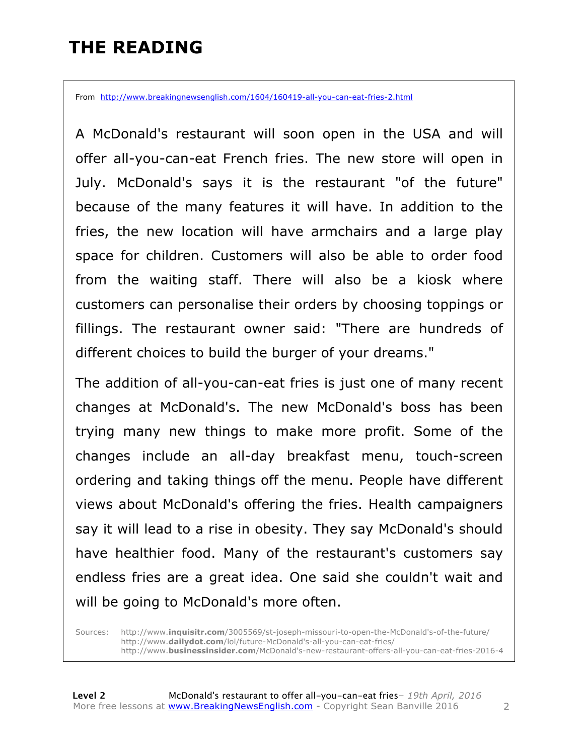### **THE READING**

From http://www.breakingnewsenglish.com/1604/160419-all-you-can-eat-fries-2.html

A McDonald's restaurant will soon open in the USA and will offer all-you-can-eat French fries. The new store will open in July. McDonald's says it is the restaurant "of the future" because of the many features it will have. In addition to the fries, the new location will have armchairs and a large play space for children. Customers will also be able to order food from the waiting staff. There will also be a kiosk where customers can personalise their orders by choosing toppings or fillings. The restaurant owner said: "There are hundreds of different choices to build the burger of your dreams."

The addition of all-you-can-eat fries is just one of many recent changes at McDonald's. The new McDonald's boss has been trying many new things to make more profit. Some of the changes include an all-day breakfast menu, touch-screen ordering and taking things off the menu. People have different views about McDonald's offering the fries. Health campaigners say it will lead to a rise in obesity. They say McDonald's should have healthier food. Many of the restaurant's customers say endless fries are a great idea. One said she couldn't wait and will be going to McDonald's more often.

Sources: http://www.**inquisitr.com**/3005569/st-joseph-missouri-to-open-the-McDonald's-of-the-future/ http://www.**dailydot.com**/lol/future-McDonald's-all-you-can-eat-fries/ http://www.**businessinsider.com**/McDonald's-new-restaurant-offers-all-you-can-eat-fries-2016-4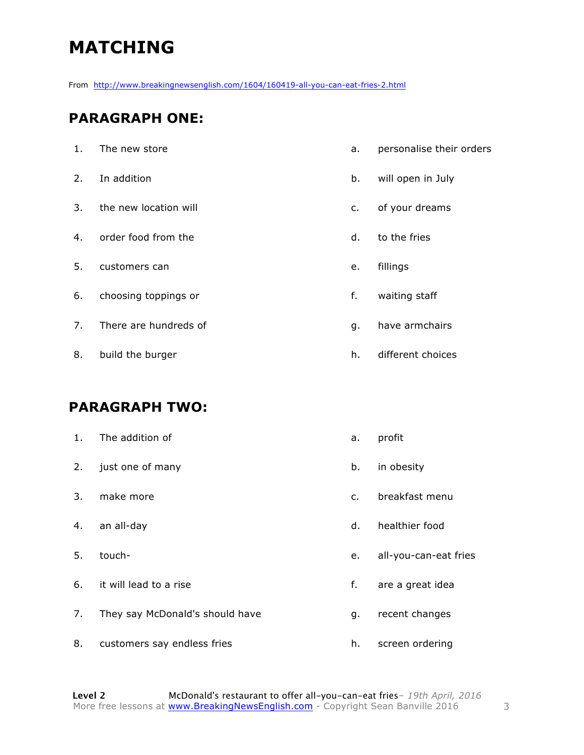# **MATCHING**

From http://www.breakingnewsenglish.com/1604/160419-all-you-can-eat-fries-2.html

#### **PARAGRAPH ONE:**

| 1. | The new store         | a. | personalise their orders |
|----|-----------------------|----|--------------------------|
| 2. | In addition           | b. | will open in July        |
| 3. | the new location will | c. | of your dreams           |
| 4. | order food from the   | d. | to the fries             |
| 5. | customers can         | e. | fillings                 |
| 6. | choosing toppings or  | f. | waiting staff            |
| 7. | There are hundreds of | g. | have armchairs           |
| 8. | build the burger      | h. | different choices        |

#### **PARAGRAPH TWO:**

| 1. | The addition of                 | a.            | profit                |
|----|---------------------------------|---------------|-----------------------|
| 2. | just one of many                | b.            | in obesity            |
| 3. | make more                       | $C_{\bullet}$ | breakfast menu        |
| 4. | an all-day                      | d.            | healthier food        |
| 5. | touch-                          | е.            | all-you-can-eat fries |
| 6. | it will lead to a rise          | f.            | are a great idea      |
| 7. | They say McDonald's should have | g.            | recent changes        |
| 8. | customers say endless fries     | h.            | screen ordering       |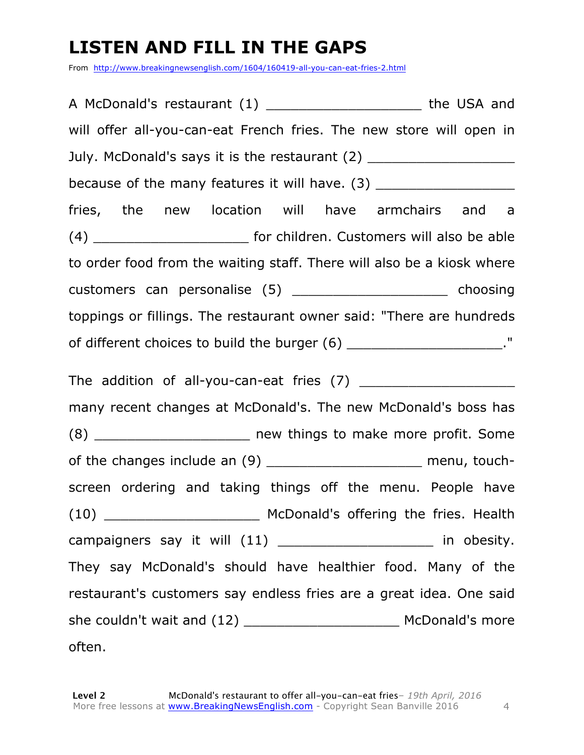# **LISTEN AND FILL IN THE GAPS**

From http://www.breakingnewsenglish.com/1604/160419-all-you-can-eat-fries-2.html

A McDonald's restaurant (1) The USA and will offer all-you-can-eat French fries. The new store will open in July. McDonald's says it is the restaurant (2) because of the many features it will have. (3) fries, the new location will have armchairs and a (4) **Example 2 for children.** Customers will also be able to order food from the waiting staff. There will also be a kiosk where customers can personalise (5) \_\_\_\_\_\_\_\_\_\_\_\_\_\_\_\_\_\_\_ choosing toppings or fillings. The restaurant owner said: "There are hundreds of different choices to build the burger  $(6)$  \_\_\_\_\_\_\_\_\_\_\_\_\_\_\_\_\_\_\_\_\_\_." The addition of all-you-can-eat fries (7) \_\_\_\_\_\_\_\_\_\_\_\_\_\_\_\_\_\_\_ many recent changes at McDonald's. The new McDonald's boss has (8) \_\_\_\_\_\_\_\_\_\_\_\_\_\_\_\_\_\_\_ new things to make more profit. Some of the changes include an (9) example 1 and the menu, touchscreen ordering and taking things off the menu. People have (10) \_\_\_\_\_\_\_\_\_\_\_\_\_\_\_\_\_\_\_ McDonald's offering the fries. Health campaigners say it will (11) \_\_\_\_\_\_\_\_\_\_\_\_\_\_\_\_\_\_\_ in obesity. They say McDonald's should have healthier food. Many of the restaurant's customers say endless fries are a great idea. One said she couldn't wait and (12) \_\_\_\_\_\_\_\_\_\_\_\_\_\_\_\_\_\_\_\_\_\_\_\_\_\_\_\_\_ McDonald's more often.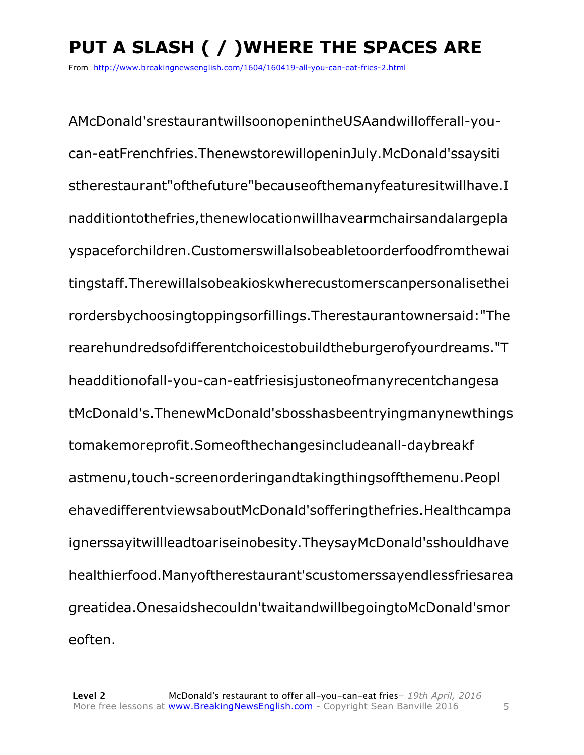# **PUT A SLASH ( / )WHERE THE SPACES ARE**

From http://www.breakingnewsenglish.com/1604/160419-all-you-can-eat-fries-2.html

AMcDonald'srestaurantwillsoonopenintheUSAandwillofferall-youcan-eatFrenchfries.ThenewstorewillopeninJuly.McDonald'ssaysiti stherestaurant"ofthefuture"becauseofthemanyfeaturesitwillhave.I nadditiontothefries,thenewlocationwillhavearmchairsandalargepla yspaceforchildren.Customerswillalsobeabletoorderfoodfromthewai tingstaff.Therewillalsobeakioskwherecustomerscanpersonalisethei rordersbychoosingtoppingsorfillings.Therestaurantownersaid:"The rearehundredsofdifferentchoicestobuildtheburgerofyourdreams."T headditionofall-you-can-eatfriesisjustoneofmanyrecentchangesa tMcDonald's.ThenewMcDonald'sbosshasbeentryingmanynewthings tomakemoreprofit.Someofthechangesincludeanall-daybreakf astmenu,touch-screenorderingandtakingthingsoffthemenu.Peopl ehavedifferentviewsaboutMcDonald'sofferingthefries.Healthcampa ignerssayitwillleadtoariseinobesity.TheysayMcDonald'sshouldhave healthierfood.Manyoftherestaurant'scustomerssayendlessfriesarea greatidea.Onesaidshecouldn'twaitandwillbegoingtoMcDonald'smor eoften.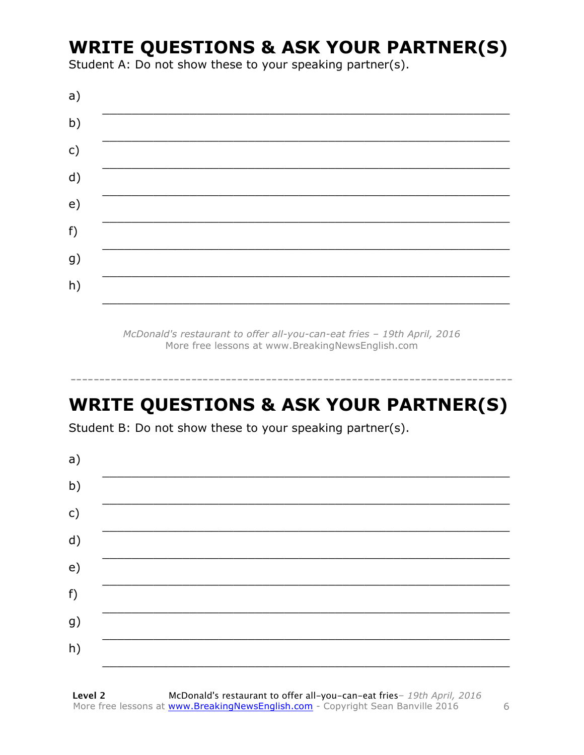### **WRITE QUESTIONS & ASK YOUR PARTNER(S)**

Student A: Do not show these to your speaking partner(s).

McDonald's restaurant to offer all-you-can-eat fries - 19th April, 2016 More free lessons at www.BreakingNewsEnglish.com

# **WRITE QUESTIONS & ASK YOUR PARTNER(S)**

Student B: Do not show these to your speaking partner(s).